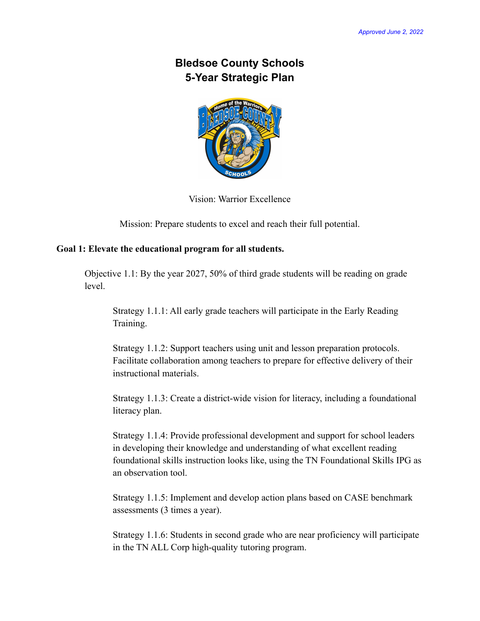# **Bledsoe County Schools 5-Year Strategic Plan**



Vision: Warrior Excellence

Mission: Prepare students to excel and reach their full potential.

## **Goal 1: Elevate the educational program for all students.**

Objective 1.1: By the year 2027, 50% of third grade students will be reading on grade level.

Strategy 1.1.1: All early grade teachers will participate in the Early Reading Training.

Strategy 1.1.2: Support teachers using unit and lesson preparation protocols. Facilitate collaboration among teachers to prepare for effective delivery of their instructional materials.

Strategy 1.1.3: Create a district-wide vision for literacy, including a foundational literacy plan.

Strategy 1.1.4: Provide professional development and support for school leaders in developing their knowledge and understanding of what excellent reading foundational skills instruction looks like, using the TN Foundational Skills IPG as an observation tool.

Strategy 1.1.5: Implement and develop action plans based on CASE benchmark assessments (3 times a year).

Strategy 1.1.6: Students in second grade who are near proficiency will participate in the TN ALL Corp high-quality tutoring program.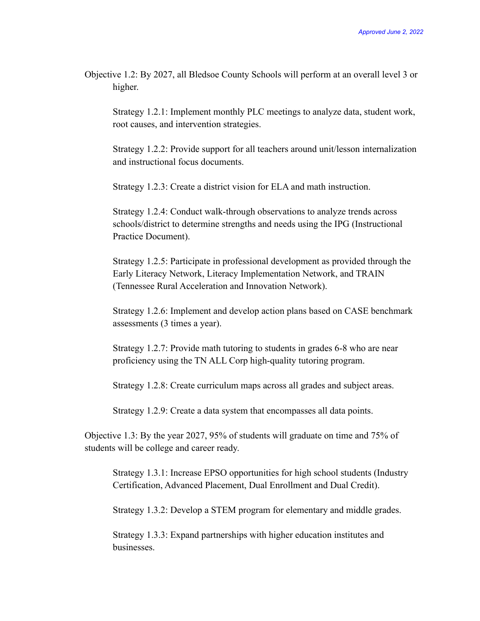Objective 1.2: By 2027, all Bledsoe County Schools will perform at an overall level 3 or higher.

Strategy 1.2.1: Implement monthly PLC meetings to analyze data, student work, root causes, and intervention strategies.

Strategy 1.2.2: Provide support for all teachers around unit/lesson internalization and instructional focus documents.

Strategy 1.2.3: Create a district vision for ELA and math instruction.

Strategy 1.2.4: Conduct walk-through observations to analyze trends across schools/district to determine strengths and needs using the IPG (Instructional Practice Document).

Strategy 1.2.5: Participate in professional development as provided through the Early Literacy Network, Literacy Implementation Network, and TRAIN (Tennessee Rural Acceleration and Innovation Network).

Strategy 1.2.6: Implement and develop action plans based on CASE benchmark assessments (3 times a year).

Strategy 1.2.7: Provide math tutoring to students in grades 6-8 who are near proficiency using the TN ALL Corp high-quality tutoring program.

Strategy 1.2.8: Create curriculum maps across all grades and subject areas.

Strategy 1.2.9: Create a data system that encompasses all data points.

Objective 1.3: By the year 2027, 95% of students will graduate on time and 75% of students will be college and career ready.

Strategy 1.3.1: Increase EPSO opportunities for high school students (Industry Certification, Advanced Placement, Dual Enrollment and Dual Credit).

Strategy 1.3.2: Develop a STEM program for elementary and middle grades.

Strategy 1.3.3: Expand partnerships with higher education institutes and businesses.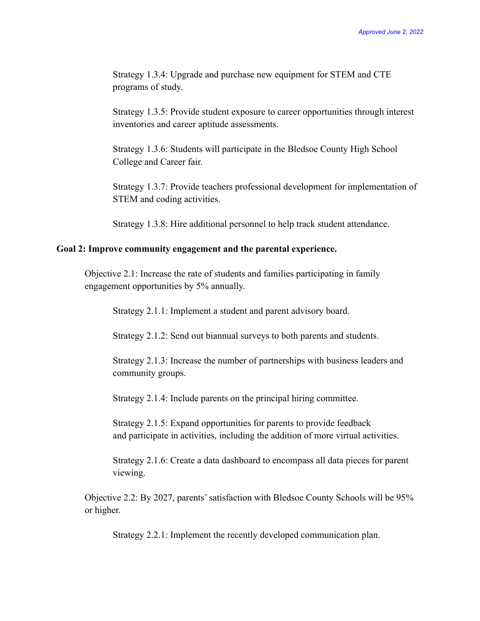Strategy 1.3.4: Upgrade and purchase new equipment for STEM and CTE programs of study.

Strategy 1.3.5: Provide student exposure to career opportunities through interest inventories and career aptitude assessments.

Strategy 1.3.6: Students will participate in the Bledsoe County High School College and Career fair.

Strategy 1.3.7: Provide teachers professional development for implementation of STEM and coding activities.

Strategy 1.3.8: Hire additional personnel to help track student attendance.

#### **Goal 2: Improve community engagement and the parental experience.**

Objective 2.1: Increase the rate of students and families participating in family engagement opportunities by 5% annually.

Strategy 2.1.1: Implement a student and parent advisory board.

Strategy 2.1.2: Send out biannual surveys to both parents and students.

Strategy 2.1.3: Increase the number of partnerships with business leaders and community groups.

Strategy 2.1.4: Include parents on the principal hiring committee.

Strategy 2.1.5: Expand opportunities for parents to provide feedback and participate in activities, including the addition of more virtual activities.

Strategy 2.1.6: Create a data dashboard to encompass all data pieces for parent viewing.

Objective 2.2: By 2027, parents' satisfaction with Bledsoe County Schools will be 95% or higher.

Strategy 2.2.1: Implement the recently developed communication plan.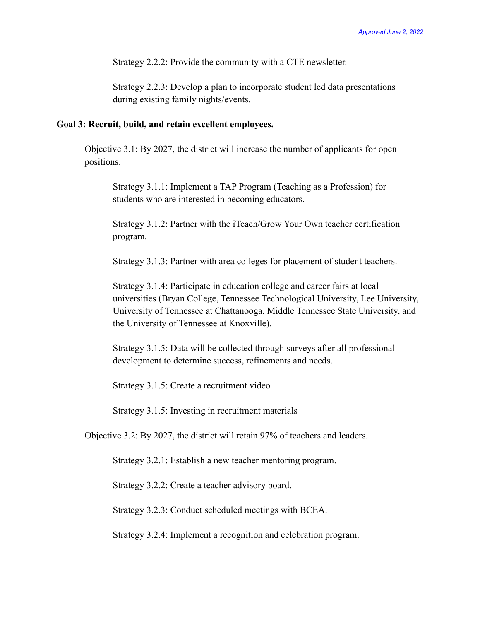Strategy 2.2.2: Provide the community with a CTE newsletter.

Strategy 2.2.3: Develop a plan to incorporate student led data presentations during existing family nights/events.

#### **Goal 3: Recruit, build, and retain excellent employees.**

Objective 3.1: By 2027, the district will increase the number of applicants for open positions.

Strategy 3.1.1: Implement a TAP Program (Teaching as a Profession) for students who are interested in becoming educators.

Strategy 3.1.2: Partner with the iTeach/Grow Your Own teacher certification program.

Strategy 3.1.3: Partner with area colleges for placement of student teachers.

Strategy 3.1.4: Participate in education college and career fairs at local universities (Bryan College, Tennessee Technological University, Lee University, University of Tennessee at Chattanooga, Middle Tennessee State University, and the University of Tennessee at Knoxville).

Strategy 3.1.5: Data will be collected through surveys after all professional development to determine success, refinements and needs.

Strategy 3.1.5: Create a recruitment video

Strategy 3.1.5: Investing in recruitment materials

Objective 3.2: By 2027, the district will retain 97% of teachers and leaders.

Strategy 3.2.1: Establish a new teacher mentoring program.

Strategy 3.2.2: Create a teacher advisory board.

Strategy 3.2.3: Conduct scheduled meetings with BCEA.

Strategy 3.2.4: Implement a recognition and celebration program.